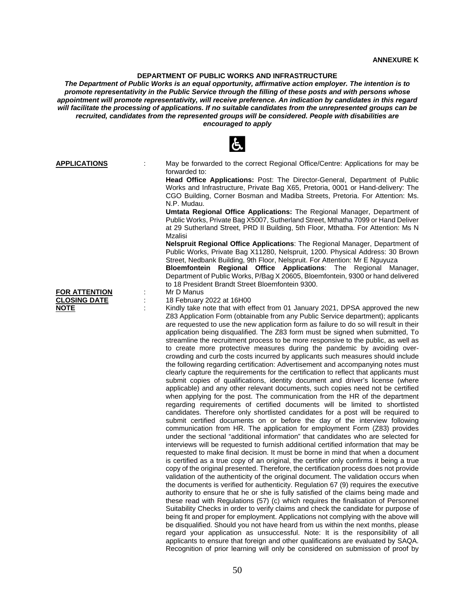## **DEPARTMENT OF PUBLIC WORKS AND INFRASTRUCTURE**

*The Department of Public Works is an equal opportunity, affirmative action employer. The intention is to promote representativity in the Public Service through the filling of these posts and with persons whose appointment will promote representativity, will receive preference. An indication by candidates in this regard will facilitate the processing of applications. If no suitable candidates from the unrepresented groups can be recruited, candidates from the represented groups will be considered. People with disabilities are encouraged to apply*



**APPLICATIONS** : May be forwarded to the correct Regional Office/Centre: Applications for may be forwarded to:

> **Head Office Applications:** Post: The Director-General, Department of Public Works and Infrastructure, Private Bag X65, Pretoria, 0001 or Hand-delivery: The CGO Building, Corner Bosman and Madiba Streets, Pretoria. For Attention: Ms. N.P. Mudau.

> **Umtata Regional Office Applications:** The Regional Manager, Department of Public Works, Private Bag X5007, Sutherland Street, Mthatha 7099 or Hand Deliver at 29 Sutherland Street, PRD II Building, 5th Floor, Mthatha. For Attention: Ms N Mzalisi

> **Nelspruit Regional Office Applications**: The Regional Manager, Department of Public Works, Private Bag X11280, Nelspruit, 1200. Physical Address: 30 Brown Street, Nedbank Building, 9th Floor, Nelspruit. For Attention: Mr E Nguyuza

> **Bloemfontein Regional Office Applications**: The Regional Manager, Department of Public Works, P/Bag X 20605, Bloemfontein, 9300 or hand delivered to 18 President Brandt Street Bloemfontein 9300.

**Kindly take note that with effect from 01 January 2021, DPSA approved the new** Z83 Application Form (obtainable from any Public Service department); applicants are requested to use the new application form as failure to do so will result in their application being disqualified. The Z83 form must be signed when submitted, To streamline the recruitment process to be more responsive to the public, as well as to create more protective measures during the pandemic by avoiding overcrowding and curb the costs incurred by applicants such measures should include the following regarding certification: Advertisement and accompanying notes must clearly capture the requirements for the certification to reflect that applicants must submit copies of qualifications, identity document and driver's license (where applicable) and any other relevant documents, such copies need not be certified when applying for the post. The communication from the HR of the department regarding requirements of certified documents will be limited to shortlisted candidates. Therefore only shortlisted candidates for a post will be required to submit certified documents on or before the day of the interview following communication from HR. The application for employment Form (Z83) provides under the sectional "additional information" that candidates who are selected for interviews will be requested to furnish additional certified information that may be requested to make final decision. It must be borne in mind that when a document is certified as a true copy of an original, the certifier only confirms it being a true copy of the original presented. Therefore, the certification process does not provide validation of the authenticity of the original document. The validation occurs when the documents is verified for authenticity. Regulation 67 (9) requires the executive authority to ensure that he or she is fully satisfied of the claims being made and these read with Regulations (57) (c) which requires the finalisation of Personnel Suitability Checks in order to verify claims and check the candidate for purpose of being fit and proper for employment. Applications not complying with the above will be disqualified. Should you not have heard from us within the next months, please regard your application as unsuccessful. Note: It is the responsibility of all applicants to ensure that foreign and other qualifications are evaluated by SAQA. Recognition of prior learning will only be considered on submission of proof by

**FOR ATTENTION FOR ATTENTION CLOSING DATE 18** February **CLOSING DATE** : 18 February 2022 at 16H00<br>**NOTE** : Kindly take note that with e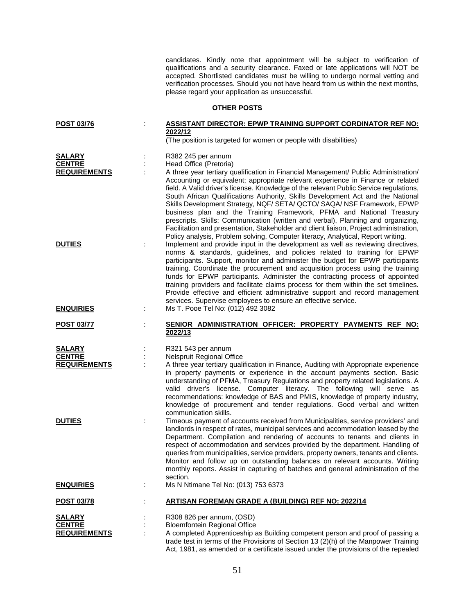candidates. Kindly note that appointment will be subject to verification of qualifications and a security clearance. Faxed or late applications will NOT be accepted. Shortlisted candidates must be willing to undergo normal vetting and verification processes. Should you not have heard from us within the next months, please regard your application as unsuccessful.

## **OTHER POSTS**

| <b>POST 03/76</b>   | <b>ASSISTANT DIRECTOR: EPWP TRAINING SUPPORT CORDINATOR REF NO:</b><br>2022/12                                                                                                                                                                                                                                                                                                                                                                                                                                                                                                                                                                                                    |
|---------------------|-----------------------------------------------------------------------------------------------------------------------------------------------------------------------------------------------------------------------------------------------------------------------------------------------------------------------------------------------------------------------------------------------------------------------------------------------------------------------------------------------------------------------------------------------------------------------------------------------------------------------------------------------------------------------------------|
|                     | (The position is targeted for women or people with disabilities)                                                                                                                                                                                                                                                                                                                                                                                                                                                                                                                                                                                                                  |
| <b>SALARY</b>       | R382 245 per annum                                                                                                                                                                                                                                                                                                                                                                                                                                                                                                                                                                                                                                                                |
| <b>CENTRE</b>       | Head Office (Pretoria)                                                                                                                                                                                                                                                                                                                                                                                                                                                                                                                                                                                                                                                            |
| <b>REQUIREMENTS</b> | A three year tertiary qualification in Financial Management/ Public Administration/                                                                                                                                                                                                                                                                                                                                                                                                                                                                                                                                                                                               |
|                     | Accounting or equivalent; appropriate relevant experience in Finance or related<br>field. A Valid driver's license. Knowledge of the relevant Public Service regulations,<br>South African Qualifications Authority, Skills Development Act and the National<br>Skills Development Strategy, NQF/ SETA/ QCTO/ SAQA/ NSF Framework, EPWP<br>business plan and the Training Framework, PFMA and National Treasury<br>prescripts. Skills: Communication (written and verbal), Planning and organizing,<br>Facilitation and presentation, Stakeholder and client liaison, Project administration,<br>Policy analysis, Problem solving, Computer literacy, Analytical, Report writing. |
| <b>DUTIES</b>       | Implement and provide input in the development as well as reviewing directives,<br>norms & standards, guidelines, and policies related to training for EPWP<br>participants. Support, monitor and administer the budget for EPWP participants<br>training. Coordinate the procurement and acquisition process using the training<br>funds for EPWP participants. Administer the contracting process of appointed<br>training providers and facilitate claims process for them within the set timelines.<br>Provide effective and efficient administrative support and record management<br>services. Supervise employees to ensure an effective service.                          |
| <b>ENQUIRIES</b>    | Ms T. Pooe Tel No: (012) 492 3082                                                                                                                                                                                                                                                                                                                                                                                                                                                                                                                                                                                                                                                 |
| POST 03/77          | SENIOR ADMINISTRATION OFFICER: PROPERTY PAYMENTS REF NO:<br>2022/13                                                                                                                                                                                                                                                                                                                                                                                                                                                                                                                                                                                                               |
| <b>SALARY</b>       | R321 543 per annum                                                                                                                                                                                                                                                                                                                                                                                                                                                                                                                                                                                                                                                                |
| <b>CENTRE</b>       | Nelspruit Regional Office                                                                                                                                                                                                                                                                                                                                                                                                                                                                                                                                                                                                                                                         |
| <b>REQUIREMENTS</b> | A three year tertiary qualification in Finance, Auditing with Appropriate experience                                                                                                                                                                                                                                                                                                                                                                                                                                                                                                                                                                                              |
|                     | in property payments or experience in the account payments section. Basic<br>understanding of PFMA, Treasury Regulations and property related legislations. A<br>valid driver's license. Computer literacy. The following will serve as<br>recommendations: knowledge of BAS and PMIS, knowledge of property industry,<br>knowledge of procurement and tender regulations. Good verbal and written<br>communication skills.                                                                                                                                                                                                                                                       |
| <b>DUTIES</b>       | Timeous payment of accounts received from Municipalities, service providers' and<br>landlords in respect of rates, municipal services and accommodation leased by the<br>Department. Compilation and rendering of accounts to tenants and clients in<br>respect of accommodation and services provided by the department. Handling of<br>queries from municipalities, service providers, property owners, tenants and clients.<br>Monitor and follow up on outstanding balances on relevant accounts. Writing<br>monthly reports. Assist in capturing of batches and general administration of the<br>section.                                                                    |
| <b>ENQUIRIES</b>    | Ms N Ntimane Tel No: (013) 753 6373                                                                                                                                                                                                                                                                                                                                                                                                                                                                                                                                                                                                                                               |
| POST 03/78          | <b>ARTISAN FOREMAN GRADE A (BUILDING) REF NO: 2022/14</b>                                                                                                                                                                                                                                                                                                                                                                                                                                                                                                                                                                                                                         |
| <b>SALARY</b>       | R308 826 per annum, (OSD)                                                                                                                                                                                                                                                                                                                                                                                                                                                                                                                                                                                                                                                         |
| <b>CENTRE</b>       | <b>Bloemfontein Regional Office</b>                                                                                                                                                                                                                                                                                                                                                                                                                                                                                                                                                                                                                                               |
| <b>REQUIREMENTS</b> | A completed Apprenticeship as Building competent person and proof of passing a<br>trade test in terms of the Provisions of Section 13 (2)(h) of the Manpower Training<br>Act, 1981, as amended or a certificate issued under the provisions of the repealed                                                                                                                                                                                                                                                                                                                                                                                                                       |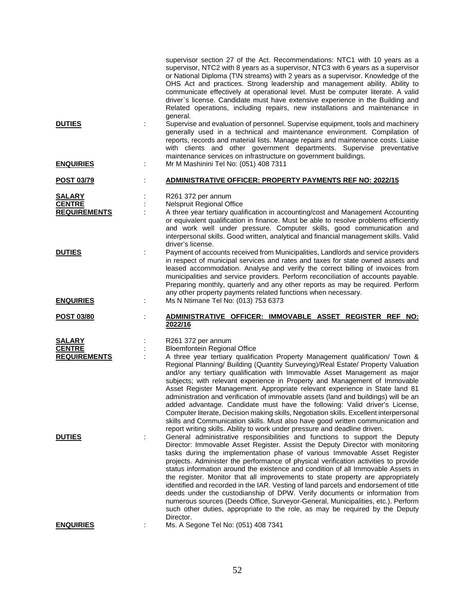|                                                       | supervisor section 27 of the Act. Recommendations: NTC1 with 10 years as a<br>supervisor, NTC2 with 8 years as a supervisor, NTC3 with 6 years as a supervisor<br>or National Diploma (T\N streams) with 2 years as a supervisor. Knowledge of the<br>OHS Act and practices. Strong leadership and management ability. Ability to<br>communicate effectively at operational level. Must be computer literate. A valid<br>driver's license. Candidate must have extensive experience in the Building and<br>Related operations, including repairs, new installations and maintenance in<br>general.                                                                                                                                                                                                                                                                                                                                                                                                                              |
|-------------------------------------------------------|---------------------------------------------------------------------------------------------------------------------------------------------------------------------------------------------------------------------------------------------------------------------------------------------------------------------------------------------------------------------------------------------------------------------------------------------------------------------------------------------------------------------------------------------------------------------------------------------------------------------------------------------------------------------------------------------------------------------------------------------------------------------------------------------------------------------------------------------------------------------------------------------------------------------------------------------------------------------------------------------------------------------------------|
| <b>DUTIES</b>                                         | Supervise and evaluation of personnel. Supervise equipment, tools and machinery<br>generally used in a technical and maintenance environment. Compilation of<br>reports, records and material lists. Manage repairs and maintenance costs. Liaise<br>with clients and other government departments. Supervise preventative<br>maintenance services on infrastructure on government buildings.                                                                                                                                                                                                                                                                                                                                                                                                                                                                                                                                                                                                                                   |
| <b>ENQUIRIES</b>                                      | Mr M Mashinini Tel No: (051) 408 7311                                                                                                                                                                                                                                                                                                                                                                                                                                                                                                                                                                                                                                                                                                                                                                                                                                                                                                                                                                                           |
| <u>POST 03/79</u>                                     | <b>ADMINISTRATIVE OFFICER: PROPERTY PAYMENTS REF NO: 2022/15</b>                                                                                                                                                                                                                                                                                                                                                                                                                                                                                                                                                                                                                                                                                                                                                                                                                                                                                                                                                                |
| <b>SALARY</b><br><b>CENTRE</b><br><b>REQUIREMENTS</b> | R261 372 per annum<br>Nelspruit Regional Office<br>A three year tertiary qualification in accounting/cost and Management Accounting<br>or equivalent qualification in finance. Must be able to resolve problems efficiently<br>and work well under pressure. Computer skills, good communication and<br>interpersonal skills. Good written, analytical and financial management skills. Valid<br>driver's license.                                                                                                                                                                                                                                                                                                                                                                                                                                                                                                                                                                                                              |
| <b>DUTIES</b>                                         | Payment of accounts received from Municipalities, Landlords and service providers<br>in respect of municipal services and rates and taxes for state owned assets and<br>leased accommodation. Analyse and verify the correct billing of invoices from<br>municipalities and service providers. Perform reconciliation of accounts payable.<br>Preparing monthly, quarterly and any other reports as may be required. Perform<br>any other property payments related functions when necessary.                                                                                                                                                                                                                                                                                                                                                                                                                                                                                                                                   |
| <b>ENQUIRIES</b>                                      | Ms N Ntimane Tel No: (013) 753 6373<br>÷                                                                                                                                                                                                                                                                                                                                                                                                                                                                                                                                                                                                                                                                                                                                                                                                                                                                                                                                                                                        |
| <b>POST 03/80</b>                                     | ADMINISTRATIVE OFFICER: IMMOVABLE ASSET REGISTER REF NO:<br>2022/16                                                                                                                                                                                                                                                                                                                                                                                                                                                                                                                                                                                                                                                                                                                                                                                                                                                                                                                                                             |
| <b>SALARY</b><br><b>CENTRE</b>                        | R261 372 per annum<br><b>Bloemfontein Regional Office</b>                                                                                                                                                                                                                                                                                                                                                                                                                                                                                                                                                                                                                                                                                                                                                                                                                                                                                                                                                                       |
| <b>REQUIREMENTS</b>                                   | A three year tertiary qualification Property Management qualification/ Town &<br>Regional Planning/ Building (Quantity Surveying)/Real Estate/ Property Valuation<br>and/or any tertiary qualification with Immovable Asset Management as major<br>subjects; with relevant experience in Property and Management of Immovable<br>Asset Register Management. Appropriate relevant experience in State land 81<br>administration and verification of immovable assets (land and buildings) will be an<br>added advantage. Candidate must have the following: Valid driver's License,<br>Computer literate, Decision making skills, Negotiation skills. Excellent interpersonal                                                                                                                                                                                                                                                                                                                                                    |
| <b>DUTIES</b>                                         | skills and Communication skills. Must also have good written communication and<br>report writing skills. Ability to work under pressure and deadline driven.<br>General administrative responsibilities and functions to support the Deputy<br>Director: Immovable Asset Register. Assist the Deputy Director with monitoring<br>tasks during the implementation phase of various Immovable Asset Register<br>projects. Administer the performance of physical verification activities to provide<br>status information around the existence and condition of all Immovable Assets in<br>the register. Monitor that all improvements to state property are appropriately<br>identified and recorded in the IAR. Vesting of land parcels and endorsement of title<br>deeds under the custodianship of DPW. Verify documents or information from<br>numerous sources (Deeds Office, Surveyor-General, Municipalities, etc.). Perform<br>such other duties, appropriate to the role, as may be required by the Deputy<br>Director. |